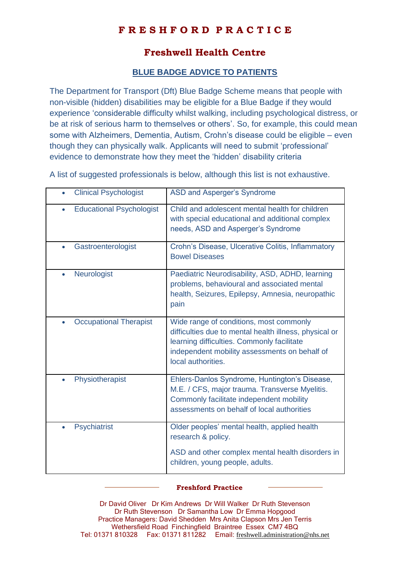## **F R E S H F O R D P R A C T I C E**

## **Freshwell Health Centre**

## **BLUE BADGE ADVICE TO PATIENTS**

The Department for Transport (Dft) Blue Badge Scheme means that people with non-visible (hidden) disabilities may be eligible for a Blue Badge if they would experience 'considerable difficulty whilst walking, including psychological distress, or be at risk of serious harm to themselves or others'. So, for example, this could mean some with Alzheimers, Dementia, Autism, Crohn's disease could be eligible – even though they can physically walk. Applicants will need to submit 'professional' evidence to demonstrate how they meet the 'hidden' disability criteria

A list of suggested professionals is below, although this list is not exhaustive.

| <b>Clinical Psychologist</b><br>$\bullet$    | ASD and Asperger's Syndrome                                                                                                                                                                                            |
|----------------------------------------------|------------------------------------------------------------------------------------------------------------------------------------------------------------------------------------------------------------------------|
| <b>Educational Psychologist</b><br>$\bullet$ | Child and adolescent mental health for children<br>with special educational and additional complex<br>needs, ASD and Asperger's Syndrome                                                                               |
| Gastroenterologist<br>$\bullet$              | Crohn's Disease, Ulcerative Colitis, Inflammatory<br><b>Bowel Diseases</b>                                                                                                                                             |
| <b>Neurologist</b><br>$\bullet$              | Paediatric Neurodisability, ASD, ADHD, learning<br>problems, behavioural and associated mental<br>health, Seizures, Epilepsy, Amnesia, neuropathic<br>pain                                                             |
| <b>Occupational Therapist</b><br>$\bullet$   | Wide range of conditions, most commonly<br>difficulties due to mental health illness, physical or<br>learning difficulties. Commonly facilitate<br>independent mobility assessments on behalf of<br>local authorities. |
| Physiotherapist<br>$\bullet$                 | Ehlers-Danlos Syndrome, Huntington's Disease,<br>M.E. / CFS, major trauma. Transverse Myelitis.<br>Commonly facilitate independent mobility<br>assessments on behalf of local authorities                              |
| <b>Psychiatrist</b><br>$\bullet$             | Older peoples' mental health, applied health<br>research & policy.<br>ASD and other complex mental health disorders in<br>children, young people, adults.                                                              |

## **Freshford Practice**

Dr David Oliver Dr Kim Andrews Dr Will Walker Dr Ruth Stevenson Dr Ruth Stevenson Dr Samantha Low Dr Emma Hopgood Practice Managers: David Shedden Mrs Anita Clapson Mrs Jen Terris Wethersfield Road Finchingfield Braintree Essex CM7 4BQ Tel: 01371 810328 Fax: 01371 811282 Email: [freshwell.administration@nhs.net](mailto:freshwell.administration@nhs.net)